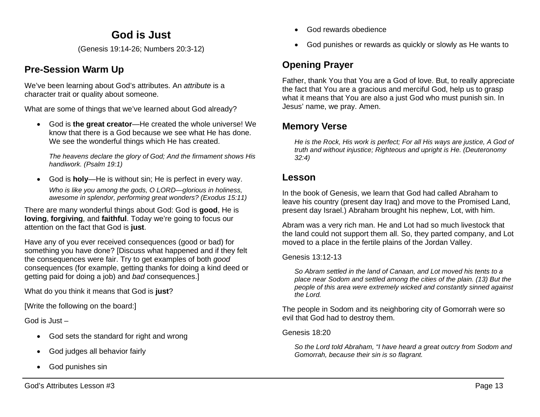## **God is Just**

(Genesis 19:14-26; Numbers 20:3-12)

## **Pre-Session Warm Up**

We've been learning about God's attributes. An *attribute* is a character trait or quality about someone.

What are some of things that we've learned about God already?

• God is **the great creator**—He created the whole universe! We know that there is a God because we see what He has done. We see the wonderful things which He has created.

*The heavens declare the glory of God; And the firmament shows His handiwork. (Psalm 19:1)*

• God is **holy**—He is without sin; He is perfect in every way. *Who is like you among the gods, O LORD—glorious in holiness, awesome in splendor, performing great wonders? (Exodus 15:11)*

There are many wonderful things about God: God is **good**, He is **loving**, **forgiving**, and **faithful**. Today we're going to focus our attention on the fact that God is **just**.

Have any of you ever received consequences (good or bad) for something you have done? [Discuss what happened and if they felt the consequences were fair. Try to get examples of both *good* consequences (for example, getting thanks for doing a kind deed or getting paid for doing a job) and *bad* consequences.]

What do you think it means that God is **just**?

[Write the following on the board:]

God is Just –

- God sets the standard for right and wrong
- God judges all behavior fairly
- God punishes sin
- God rewards obedience
- God punishes or rewards as quickly or slowly as He wants to

# **Opening Prayer**

Father, thank You that You are a God of love. But, to really appreciate the fact that You are a gracious and merciful God, help us to grasp what it means that You are also a just God who must punish sin. In Jesus' name, we pray. Amen.

## **Memory Verse**

*He is the Rock, His work is perfect; For all His ways are justice, A God of truth and without injustice; Righteous and upright is He. (Deuteronomy 32:4)*

## **Lesson**

In the book of Genesis, we learn that God had called Abraham to leave his country (present day Iraq) and move to the Promised Land, present day Israel.) Abraham brought his nephew, Lot, with him.

Abram was a very rich man. He and Lot had so much livestock that the land could not support them all. So, they parted company, and Lot moved to a place in the fertile plains of the Jordan Valley.

Genesis 13:12-13

*So Abram settled in the land of Canaan, and Lot moved his tents to a place near Sodom and settled among the cities of the plain. (13) But the people of this area were extremely wicked and constantly sinned against the Lord.*

The people in Sodom and its neighboring city of Gomorrah were so evil that God had to destroy them.

Genesis 18:20

*So the Lord told Abraham, "I have heard a great outcry from Sodom and Gomorrah, because their sin is so flagrant.*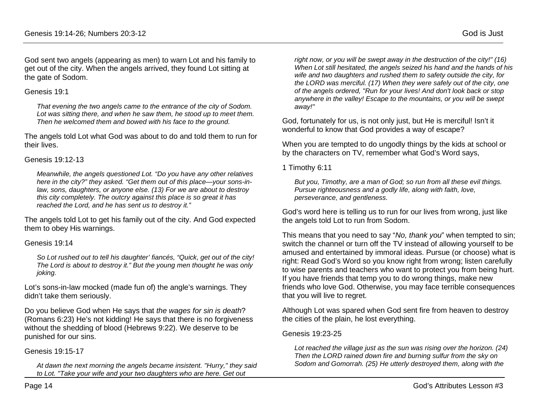God sent two angels (appearing as men) to warn Lot and his family to get out of the city. When the angels arrived, they found Lot sitting at the gate of Sodom.

#### Genesis 19:1

*That evening the two angels came to the entrance of the city of Sodom. Lot was sitting there, and when he saw them, he stood up to meet them. Then he welcomed them and bowed with his face to the ground.* 

The angels told Lot what God was about to do and told them to run for their lives.

#### Genesis 19:12-13

*Meanwhile, the angels questioned Lot. "Do you have any other relatives here in the city?" they asked. "Get them out of this place—your sons-inlaw, sons, daughters, or anyone else. (13) For we are about to destroy this city completely. The outcry against this place is so great it has reached the Lord, and he has sent us to destroy it."*

The angels told Lot to get his family out of the city. And God expected them to obey His warnings.

#### Genesis 19:14

*So Lot rushed out to tell his daughter' fiancés, "Quick, get out of the city! The Lord is about to destroy it." But the young men thought he was only joking.*

Lot's sons-in-law mocked (made fun of) the angle's warnings. They didn't take them seriously.

Do you believe God when He says that *the wages for sin is death*? (Romans 6:23) He's not kidding! He says that there is no forgiveness without the shedding of blood (Hebrews 9:22). We deserve to be punished for our sins.

### Genesis 19:15-17

*At dawn the next morning the angels became insistent. "Hurry," they said to Lot. "Take your wife and your two daughters who are here. Get out* 

*right now, or you will be swept away in the destruction of the city!" (16) When Lot still hesitated, the angels seized his hand and the hands of his wife and two daughters and rushed them to safety outside the city, for the LORD was merciful. (17) When they were safely out of the city, one of the angels ordered, "Run for your lives! And don't look back or stop anywhere in the valley! Escape to the mountains, or you will be swept away!"*

God, fortunately for us, is not only just, but He is merciful! Isn't it wonderful to know that God provides a way of escape?

When you are tempted to do ungodly things by the kids at school or by the characters on TV, remember what God's Word says,

1 Timothy 6:11

*But you, Timothy, are a man of God; so run from all these evil things. Pursue righteousness and a godly life, along with faith, love, perseverance, and gentleness.*

God's word here is telling us to run for our lives from wrong, just like the angels told Lot to run from Sodom.

This means that you need to say "*No, thank you*" when tempted to sin; switch the channel or turn off the TV instead of allowing yourself to be amused and entertained by immoral ideas. Pursue (or choose) what is right: Read God's Word so you know right from wrong; listen carefully to wise parents and teachers who want to protect you from being hurt. If you have friends that temp you to do wrong things, make new friends who love God. Otherwise, you may face terrible consequences that you will live to regret.

Although Lot was spared when God sent fire from heaven to destroy the cities of the plain, he lost everything.

#### Genesis 19:23-25

*Lot reached the village just as the sun was rising over the horizon. (24) Then the LORD rained down fire and burning sulfur from the sky on Sodom and Gomorrah. (25) He utterly destroyed them, along with the*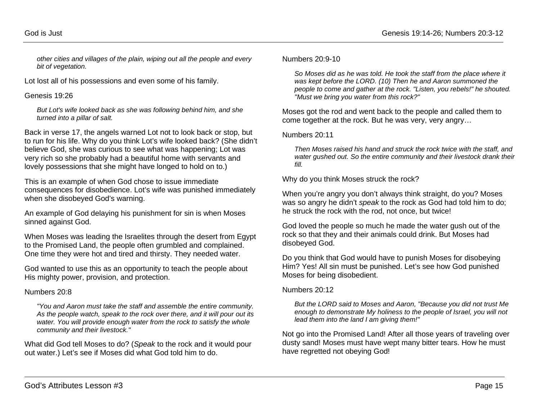*other cities and villages of the plain, wiping out all the people and every bit of vegetation.*

Lot lost all of his possessions and even some of his family.

#### Genesis 19:26

*But Lot's wife looked back as she was following behind him, and she turned into a pillar of salt.*

Back in verse 17, the angels warned Lot not to look back or stop, but to run for his life. Why do you think Lot's wife looked back? (She didn't believe God, she was curious to see what was happening; Lot was very rich so she probably had a beautiful home with servants and lovely possessions that she might have longed to hold on to.)

This is an example of when God chose to issue immediate consequences for disobedience. Lot's wife was punished immediately when she disobeyed God's warning.

An example of God delaying his punishment for sin is when Moses sinned against God.

When Moses was leading the Israelites through the desert from Egypt to the Promised Land, the people often grumbled and complained. One time they were hot and tired and thirsty. They needed water.

God wanted to use this as an opportunity to teach the people about His mighty power, provision, and protection.

#### Numbers 20:8

*"You and Aaron must take the staff and assemble the entire community. As the people watch, speak to the rock over there, and it will pour out its water. You will provide enough water from the rock to satisfy the whole community and their livestock."* 

What did God tell Moses to do? (*Speak* to the rock and it would pour out water.) Let's see if Moses did what God told him to do.

#### Numbers 20:9-10

*So Moses did as he was told. He took the staff from the place where it was kept before the LORD. (10) Then he and Aaron summoned the people to come and gather at the rock. "Listen, you rebels!" he shouted. "Must we bring you water from this rock?"* 

Moses got the rod and went back to the people and called them to come together at the rock. But he was very, very angry…

#### Numbers 20:11

*Then Moses raised his hand and struck the rock twice with the staff, and water gushed out. So the entire community and their livestock drank their fill.* 

Why do you think Moses struck the rock?

When you're angry you don't always think straight, do you? Moses was so angry he didn't *speak* to the rock as God had told him to do; he struck the rock with the rod, not once, but twice!

God loved the people so much he made the water gush out of the rock so that they and their animals could drink. But Moses had disobeyed God.

Do you think that God would have to punish Moses for disobeying Him? Yes! All sin must be punished. Let's see how God punished Moses for being disobedient.

#### Numbers 20:12

*But the LORD said to Moses and Aaron, "Because you did not trust Me enough to demonstrate My holiness to the people of Israel, you will not lead them into the land I am giving them!"*

Not go into the Promised Land! After all those years of traveling over dusty sand! Moses must have wept many bitter tears. How he must have regretted not obeying God!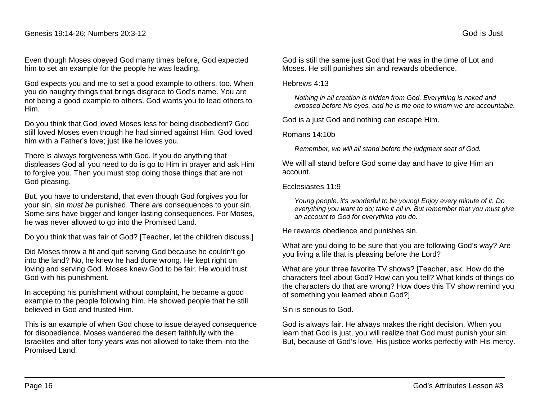Even though Moses obeyed God many times before, God expected him to set an example for the people he was leading.

God expects you and me to set a good example to others, too. When you do naughty things that brings disgrace to God's name. You are not being a good example to others. God wants you to lead others to Him.

Do you think that God loved Moses less for being disobedient? God still loved Moses even though he had sinned against Him. God loved him with a Father's love; just like he loves you.

There is always forgiveness with God. If you do anything that displeases God all you need to do is go to Him in prayer and ask Him to forgive you. Then you must stop doing those things that are not God pleasing.

But, you have to understand, that even though God forgives you for your sin, sin *must be* punished. There *are* consequences to your sin. Some sins have bigger and longer lasting consequences. For Moses, he was never allowed to go into the Promised Land.

Do you think that was fair of God? [Teacher, let the children discuss.]

Did Moses throw a fit and quit serving God because he couldn't go into the land? No, he knew he had done wrong. He kept right on loving and serving God. Moses knew God to be fair. He would trust God with his punishment.

In accepting his punishment without complaint, he became a good example to the people following him. He showed people that he still believed in God and trusted Him.

This is an example of when God chose to issue delayed consequence for disobedience. Moses wandered the desert faithfully with the Israelites and after forty years was not allowed to take them into the Promised Land.

God is still the same just God that He was in the time of Lot and Moses. He still punishes sin and rewards obedience.

#### Hebrews 4:13

*Nothing in all creation is hidden from God. Everything is naked and exposed before his eyes, and he is the one to whom we are accountable.*

God is a just God and nothing can escape Him.

Romans 14:10b

*Remember, we will all stand before the judgment seat of God.*

We will all stand before God some day and have to give Him an account.

#### Ecclesiastes 11:9

*Young people, it's wonderful to be young! Enjoy every minute of it. Do everything you want to do; take it all in. But remember that you must give an account to God for everything you do.*

He rewards obedience and punishes sin.

What are you doing to be sure that you are following God's way? Are you living a life that is pleasing before the Lord?

What are your three favorite TV shows? [Teacher, ask: How do the characters feel about God? How can you tell? What kinds of things do the characters do that are wrong? How does this TV show remind you of something you learned about God?]

Sin is serious to God.

God is always fair. He always makes the right decision. When you learn that God is just, you will realize that God must punish your sin. But, because of God's love, His justice works perfectly with His mercy.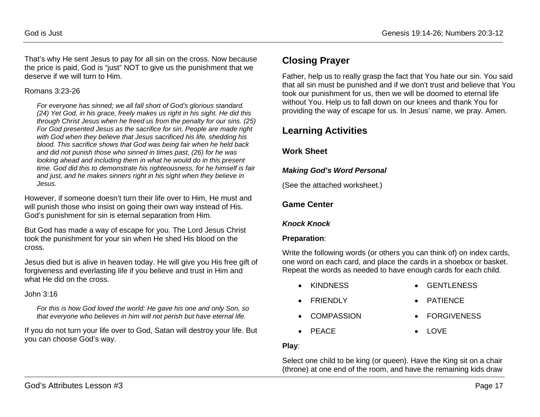That's why He sent Jesus to pay for all sin on the cross. Now because the price is paid, God is "just" NOT to give us the punishment that we deserve if we will turn to Him.

#### Romans 3:23-26

*For everyone has sinned; we all fall short of God's glorious standard. (24) Yet God, in his grace, freely makes us right in his sight. He did this through Christ Jesus when he freed us from the penalty for our sins. (25) For God presented Jesus as the sacrifice for sin. People are made right with God when they believe that Jesus sacrificed his life, shedding his blood. This sacrifice shows that God was being fair when he held back and did not punish those who sinned in times past, (26) for he was looking ahead and including them in what he would do in this present time. God did this to demonstrate his righteousness, for he himself is fair and just, and he makes sinners right in his sight when they believe in Jesus.*

However, if someone doesn't turn their life over to Him, He must and will punish those who insist on going their own way instead of His. God's punishment for sin is eternal separation from Him.

But God has made a way of escape for you. The Lord Jesus Christ took the punishment for your sin when He shed His blood on the cross.

Jesus died but is alive in heaven today. He will give you His free gift of forgiveness and everlasting life if you believe and trust in Him and what He did on the cross.

John 3:16

*For this is how God loved the world: He gave his one and only Son, so that everyone who believes in him will not perish but have eternal life.*

If you do not turn your life over to God, Satan will destroy your life. But you can choose God's way.

## **Closing Prayer**

Father, help us to really grasp the fact that You hate our sin. You said that all sin must be punished and if we don't trust and believe that You took our punishment for us, then we will be doomed to eternal life without You. Help us to fall down on our knees and thank You for providing the way of escape for us. In Jesus' name, we pray. Amen.

## **Learning Activities**

### **Work Sheet**

### *Making God's Word Personal*

(See the attached worksheet.)

## **Game Center**

### *Knock Knock*

### **Preparation**:

Write the following words (or others you can think of) on index cards, one word on each card, and place the cards in a shoebox or basket. Repeat the words as needed to have enough cards for each child.

- KINDNESS GENTLENESS
- 
- FRIENDLY PATIENCE
- COMPASSION FORGIVENESS
- PEACE LOVE

### **Play**:

Select one child to be king (or queen). Have the King sit on a chair (throne) at one end of the room, and have the remaining kids draw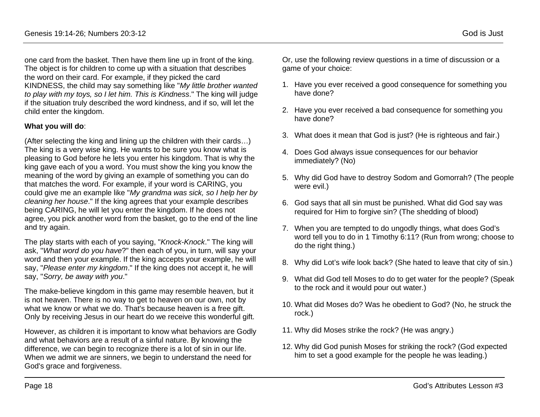one card from the basket. Then have them line up in front of the king. The object is for children to come up with a situation that describes the word on their card. For example, if they picked the card KINDNESS, the child may say something like "*My little brother wanted to play with my toys, so I let him. This is Kindness*." The king will judge if the situation truly described the word kindness, and if so, will let the child enter the kingdom.

#### **What you will do**:

(After selecting the king and lining up the children with their cards…) The king is a very wise king. He wants to be sure you know what is pleasing to God before he lets you enter his kingdom. That is why the king gave each of you a word. You must show the king you know the meaning of the word by giving an example of something you can do that matches the word. For example, if your word is CARING, you could give me an example like "*My grandma was sick, so I help her by cleaning her house*." If the king agrees that your example describes being CARING, he will let you enter the kingdom. If he does not agree, you pick another word from the basket, go to the end of the line and try again.

The play starts with each of you saying, "*Knock-Knock*." The king will ask, "*What word do you have*?" then each of you, in turn, will say your word and then your example. If the king accepts your example, he will say, "*Please enter my kingdom*." If the king does not accept it, he will say, "*Sorry, be away with you*."

The make-believe kingdom in this game may resemble heaven, but it is not heaven. There is no way to get to heaven on our own, not by what we know or what we do. That's because heaven is a free gift. Only by receiving Jesus in our heart do we receive this wonderful gift.

However, as children it is important to know what behaviors are Godly and what behaviors are a result of a sinful nature. By knowing the difference, we can begin to recognize there is a lot of sin in our life. When we admit we are sinners, we begin to understand the need for God's grace and forgiveness.

Or, use the following review questions in a time of discussion or a game of your choice:

- 1. Have you ever received a good consequence for something you have done?
- 2. Have you ever received a bad consequence for something you have done?
- 3. What does it mean that God is just? (He is righteous and fair.)
- 4. Does God always issue consequences for our behavior immediately? (No)
- 5. Why did God have to destroy Sodom and Gomorrah? (The people were evil.)
- 6. God says that all sin must be punished. What did God say was required for Him to forgive sin? (The shedding of blood)
- 7. When you are tempted to do ungodly things, what does God's word tell you to do in 1 Timothy 6:11? (Run from wrong; choose to do the right thing.)
- 8. Why did Lot's wife look back? (She hated to leave that city of sin.)
- 9. What did God tell Moses to do to get water for the people? (Speak to the rock and it would pour out water.)
- 10. What did Moses do? Was he obedient to God? (No, he struck the rock.)
- 11. Why did Moses strike the rock? (He was angry.)
- 12. Why did God punish Moses for striking the rock? (God expected him to set a good example for the people he was leading.)